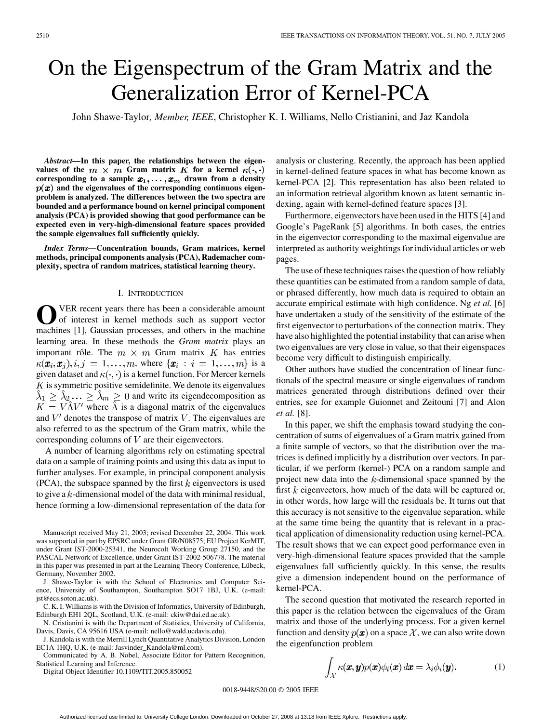# On the Eigenspectrum of the Gram Matrix and the Generalization Error of Kernel-PCA

John Shawe-Taylor*, Member, IEEE*, Christopher K. I. Williams, Nello Cristianini, and Jaz Kandola

*Abstract—***In this paper, the relationships between the eigenvalues of the**  $m \times m$  Gram matrix  $K$  for a kernel  $\kappa(\cdot, \cdot)$ corresponding to a sample  $x_1, \ldots, x_m$  drawn from a density  $p(x)$  and the eigenvalues of the corresponding continuous eigen**problem is analyzed. The differences between the two spectra are bounded and a performance bound on kernel principal component analysis (PCA) is provided showing that good performance can be expected even in very-high-dimensional feature spaces provided the sample eigenvalues fall sufficiently quickly.**

*Index Terms—***Concentration bounds, Gram matrices, kernel methods, principal components analysis (PCA), Rademacher complexity, spectra of random matrices, statistical learning theory.**

#### I. INTRODUCTION

OUER recent years there has been a considerable amount<br>of interest in kernel methods such as support vector<br>meabling [1] Coussion processes, and others in the meabling machines [\[1](#page-11-0)], Gaussian processes, and others in the machine learning area. In these methods the *Gram matrix* plays an important rôle. The  $m \times m$  Gram matrix K has entries  $\kappa(\mathbf{x}_i, \mathbf{x}_j), i, j = 1, \ldots, m$ , where  $\{\mathbf{x}_i : i = 1, \ldots, m\}$  is a given dataset and  $\kappa(\cdot, \cdot)$  is a kernel function. For Mercer kernels  $K$  is symmetric positive semidefinite. We denote its eigenvalues  $\hat{\lambda}_1 \geq \hat{\lambda}_2 ... \geq \hat{\lambda}_m \geq 0$  and write its eigendecomposition as  $K = V \hat{\Lambda} V'$  where  $\hat{\Lambda}$  is a diagonal matrix of the eigenvalues and  $V'$  denotes the transpose of matrix V. The eigenvalues are also referred to as the spectrum of the Gram matrix, while the corresponding columns of  $V$  are their eigenvectors.

A number of learning algorithms rely on estimating spectral data on a sample of training points and using this data as input to further analyses. For example, in principal component analysis  $(PCA)$ , the subspace spanned by the first k eigenvectors is used to give a  $k$ -dimensional model of the data with minimal residual, hence forming a low-dimensional representation of the data for

Manuscript received May 21, 2003; revised December 22, 2004. This work was supported in part by EPSRC under Grant GR/N08575; EU Project KerMIT, under Grant IST-2000-25341, the Neurocolt Working Group 27150, and the PASCAL Network of Excellence, under Grant IST-2002-506778. The material in this paper was presented in part at the Learning Theory Conference, Lübeck, Germany, November 2002.

J. Shawe-Taylor is with the School of Electronics and Computer Science, University of Southampton, Southampton SO17 1BJ, U.K. (e-mail: jst@ecs.soton.ac.uk).

C. K. I. Williams is with the Division of Informatics, University of Edinburgh, Edinburgh EH1 2QL, Scotland, U.K. (e-mail: ckiw@dai.ed.ac.uk).

N. Cristianini is with the Department of Statistics, University of California, Davis, Davis, CA 95616 USA (e-mail: nello@wald.ucdavis.edu).

J. Kandola is with the Merrill Lynch Quantitative Analytics Division, London EC1A 1HQ, U.K. (e-mail: Jasvinder\_Kandola@ml.com).

Communicated by A. B. Nobel, Associate Editor for Pattern Recognition, Statistical Learning and Inference.

Digital Object Identifier 10.1109/TIT.2005.850052

analysis or clustering. Recently, the approach has been applied in kernel-defined feature spaces in what has become known as kernel-PCA [\[2](#page-11-0)]. This representation has also been related to an information retrieval algorithm known as latent semantic indexing, again with kernel-defined feature spaces [\[3](#page-11-0)].

Furthermore, eigenvectors have been used in the HITS [\[4](#page-11-0)] and Google's PageRank [\[5\]](#page-11-0) algorithms. In both cases, the entries in the eigenvector corresponding to the maximal eigenvalue are interpreted as authority weightings for individual articles or web pages.

The use of these techniques raises the question of how reliably these quantities can be estimated from a random sample of data, or phrased differently, how much data is required to obtain an accurate empirical estimate with high confidence. Ng *et al.* [\[6](#page-11-0)] have undertaken a study of the sensitivity of the estimate of the first eigenvector to perturbations of the connection matrix. They have also highlighted the potential instability that can arise when two eigenvalues are very close in value, so that their eigenspaces become very difficult to distinguish empirically.

Other authors have studied the concentration of linear functionals of the spectral measure or single eigenvalues of random matrices generated through distributions defined over their entries, see for example Guionnet and Zeitouni [[7\]](#page-11-0) and Alon *et al.* [\[8](#page-11-0)].

In this paper, we shift the emphasis toward studying the concentration of sums of eigenvalues of a Gram matrix gained from a finite sample of vectors, so that the distribution over the matrices is defined implicitly by a distribution over vectors. In particular, if we perform (kernel-) PCA on a random sample and project new data into the  $k$ -dimensional space spanned by the first  $k$  eigenvectors, how much of the data will be captured or, in other words, how large will the residuals be. It turns out that this accuracy is not sensitive to the eigenvalue separation, while at the same time being the quantity that is relevant in a practical application of dimensionality reduction using kernel-PCA. The result shows that we can expect good performance even in very-high-dimensional feature spaces provided that the sample eigenvalues fall sufficiently quickly. In this sense, the results give a dimension independent bound on the performance of kernel-PCA.

The second question that motivated the research reported in this paper is the relation between the eigenvalues of the Gram matrix and those of the underlying process. For a given kernel function and density  $p(x)$  on a space X, we can also write down the eigenfunction problem

$$
\int_{\mathcal{X}} \kappa(\boldsymbol{x}, \boldsymbol{y}) p(\boldsymbol{x}) \phi_i(\boldsymbol{x}) \, d\boldsymbol{x} = \lambda_i \phi_i(\boldsymbol{y}). \tag{1}
$$

0018-9448/\$20.00 © 2005 IEEE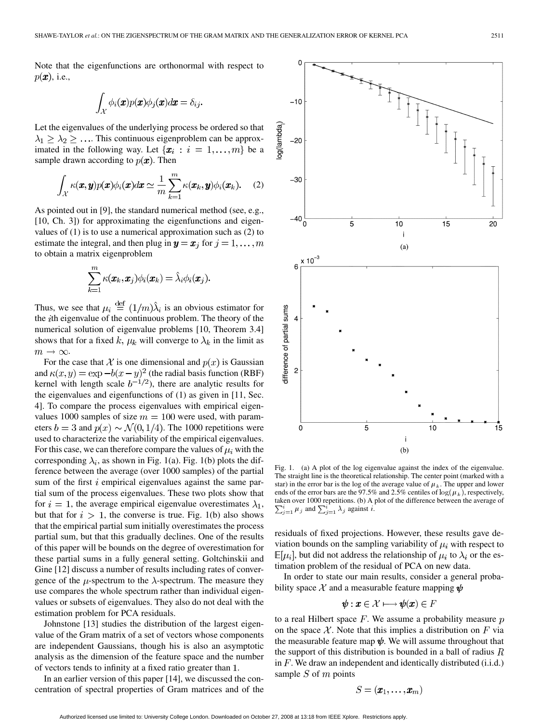Note that the eigenfunctions are orthonormal with respect to  $p(\boldsymbol{x})$ , i.e.,

$$
\int_{\mathcal{X}} \phi_i(\pmb{x}) p(\pmb{x}) \phi_j(\pmb{x}) d\pmb{x} = \delta_{ij}.
$$

Let the eigenvalues of the underlying process be ordered so that  $\lambda_1 \geq \lambda_2 \geq \ldots$  This continuous eigenproblem can be approximated in the following way. Let  $\{\boldsymbol{x}_i : i = 1, \dots, m\}$  be a sample drawn according to  $p(x)$ . Then

$$
\int_{\mathcal{X}} \kappa(\boldsymbol{x}, \boldsymbol{y}) p(\boldsymbol{x}) \phi_i(\boldsymbol{x}) d\boldsymbol{x} \simeq \frac{1}{m} \sum_{k=1}^m \kappa(\boldsymbol{x}_k, \boldsymbol{y}) \phi_i(\boldsymbol{x}_k).
$$
 (2)

As pointed out in [[9\]](#page-11-0), the standard numerical method (see, e.g., [\[10](#page-11-0), Ch. 3]) for approximating the eigenfunctions and eigenvalues of (1) is to use a numerical approximation such as (2) to estimate the integral, and then plug in  $y = x_i$  for  $j = 1, \ldots, m$ to obtain a matrix eigenproblem

$$
\sum_{k=1}^m \kappa(\pmb{x}_k,\pmb{x}_j)\phi_i(\pmb{x}_k)=\hat{\lambda}_i\phi_i(\pmb{x}_j).
$$

Thus, we see that  $\mu_i \stackrel{\text{def}}{=} (1/m)\hat{\lambda}_i$  is an obvious estimator for the  $i$ th eigenvalue of the continuous problem. The theory of the numerical solution of eigenvalue problems [\[10](#page-11-0), Theorem 3.4] shows that for a fixed k,  $\mu_k$  will converge to  $\lambda_k$  in the limit as  $m \rightarrow \infty$ .

For the case that X is one dimensional and  $p(x)$  is Gaussian and  $\kappa(x, y) = \exp(-b(x - y)^2)$  (the radial basis function (RBF) kernel with length scale  $b^{-1/2}$ ), there are analytic results for the eigenvalues and eigenfunctions of (1) as given in [[11,](#page-11-0) Sec. 4]. To compare the process eigenvalues with empirical eigenvalues 1000 samples of size  $m = 100$  were used, with parameters  $b = 3$  and  $p(x) \sim \mathcal{N}(0, 1/4)$ . The 1000 repetitions were used to characterize the variability of the empirical eigenvalues. For this case, we can therefore compare the values of  $\mu_i$  with the corresponding  $\lambda_i$ , as shown in Fig. 1(a). Fig. 1(b) plots the difference between the average (over 1000 samples) of the partial sum of the first  $i$  empirical eigenvalues against the same partial sum of the process eigenvalues. These two plots show that for  $i = 1$ , the average empirical eigenvalue overestimates  $\lambda_1$ , but that for  $i > 1$ , the converse is true. Fig. 1(b) also shows that the empirical partial sum initially overestimates the process partial sum, but that this gradually declines. One of the results of this paper will be bounds on the degree of overestimation for these partial sums in a fully general setting. Goltchinskii and Gine [\[12](#page-11-0)] discuss a number of results including rates of convergence of the  $\mu$ -spectrum to the  $\lambda$ -spectrum. The measure they use compares the whole spectrum rather than individual eigenvalues or subsets of eigenvalues. They also do not deal with the estimation problem for PCA residuals.

Johnstone [[13\]](#page-12-0) studies the distribution of the largest eigenvalue of the Gram matrix of a set of vectors whose components are independent Gaussians, though his is also an asymptotic analysis as the dimension of the feature space and the number of vectors tends to infinity at a fixed ratio greater than 1.

In an earlier version of this paper [[14\]](#page-12-0), we discussed the concentration of spectral properties of Gram matrices and of the



Fig. 1. (a) A plot of the log eigenvalue against the index of the eigenvalue. The straight line is the theoretical relationship. The center point (marked with a star) in the error bar is the log of the average value of  $\mu_k$ . The upper and lower ends of the error bars are the 97.5% and 2.5% centiles of  $\log(\mu_k)$ , respectively, taken over 1000 repetitions. (b) A plot of the difference between the average of  $\mu_j$  and  $\sum_{i=1}^i \lambda_j$  against *i*.

residuals of fixed projections. However, these results gave deviation bounds on the sampling variability of  $\mu_i$  with respect to  $\mathbb{E}[\mu_i]$ , but did not address the relationship of  $\mu_i$  to  $\lambda_i$  or the estimation problem of the residual of PCA on new data.

In order to state our main results, consider a general probability space  $\mathcal X$  and a measurable feature mapping  $\psi$ 

$$
\boldsymbol{\psi} : \boldsymbol{x} \in \mathcal{X} \longmapsto \boldsymbol{\psi}(\boldsymbol{x}) \in F
$$

to a real Hilbert space  $F$ . We assume a probability measure  $p$ on the space  $\mathcal X$ . Note that this implies a distribution on F via the measurable feature map  $\psi$ . We will assume throughout that the support of this distribution is bounded in a ball of radius  $R$ in  $F$ . We draw an independent and identically distributed (i.i.d.) sample  $S$  of  $m$  points

$$
S=(\pmb{x}_1,\ldots,\pmb{x}_m)
$$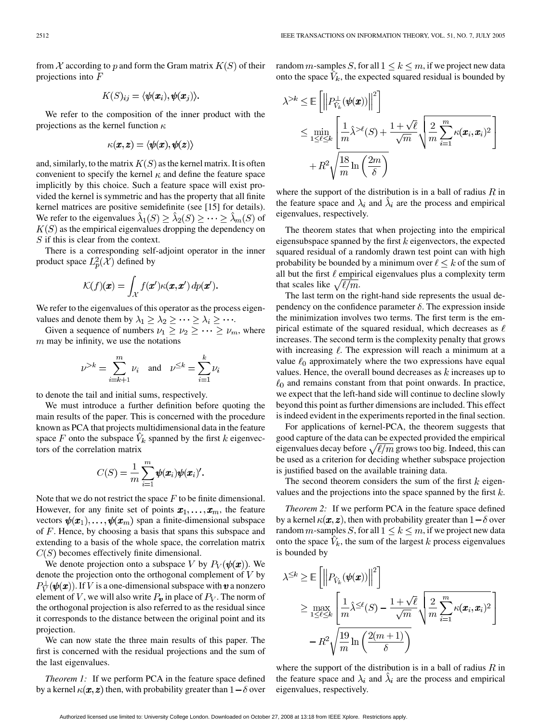from X according to p and form the Gram matrix  $K(S)$  of their projections into  $F$ 

$$
K(S)_{ij} = \langle \pmb{\psi}(\pmb{x}_i), \pmb{\psi}(\pmb{x}_j) \rangle.
$$

We refer to the composition of the inner product with the projections as the kernel function  $\kappa$ 

$$
\kappa(\pmb{x},\pmb{z}) = \langle \pmb{\psi}(\pmb{x}), \pmb{\psi}(\pmb{z}) \rangle
$$

and, similarly, to the matrix  $K(S)$  as the kernel matrix. It is often convenient to specify the kernel  $\kappa$  and define the feature space implicitly by this choice. Such a feature space will exist provided the kernel is symmetric and has the property that all finite kernel matrices are positive semidefinite (see [[15\]](#page-12-0) for details). We refer to the eigenvalues  $\lambda_1(S) \geq \lambda_2(S) \geq \cdots \geq \lambda_m(S)$  of  $K(S)$  as the empirical eigenvalues dropping the dependency on  $S$  if this is clear from the context.

There is a corresponding self-adjoint operator in the inner product space  $L_n^2(\mathcal{X})$  defined by

$$
\mathcal{K}(f)(\boldsymbol{x}) = \int_{\mathcal{X}} f(\boldsymbol{x}') \kappa(\boldsymbol{x}, \boldsymbol{x}') dp(\boldsymbol{x}').
$$

We refer to the eigenvalues of this operator as the process eigenvalues and denote them by  $\lambda_1 \geq \lambda_2 \geq \cdots \geq \lambda_i \geq \cdots$ .

Given a sequence of numbers  $\nu_1 \geq \nu_2 \geq \cdots \geq \nu_m$ , where  $m$  may be infinity, we use the notations

$$
\nu^{>k} = \sum_{i=k+1}^{m} \nu_i
$$
 and  $\nu^{\leq k} = \sum_{i=1}^{k} \nu_i$ 

to denote the tail and initial sums, respectively.

We must introduce a further definition before quoting the main results of the paper. This is concerned with the procedure known as PCA that projects multidimensional data in the feature space F onto the subspace  $V_k$  spanned by the first k eigenvectors of the correlation matrix

$$
C(S) = \frac{1}{m} \sum_{i=1}^{m} \psi(\boldsymbol{x}_i) \psi(\boldsymbol{x}_i)'.
$$

Note that we do not restrict the space  $F$  to be finite dimensional. However, for any finite set of points  $x_1, \ldots, x_m$ , the feature vectors  $\psi(x_1), \ldots, \psi(x_m)$  span a finite-dimensional subspace of  $F$ . Hence, by choosing a basis that spans this subspace and extending to a basis of the whole space, the correlation matrix  $C(S)$  becomes effectively finite dimensional.

We denote projection onto a subspace V by  $P_V(\psi(x))$ . We denote the projection onto the orthogonal complement of  $V$  by  $P_V^{\perp}(\boldsymbol{\psi}(\boldsymbol{x}))$ . If V is a one-dimensional subspace with v a nonzero element of V, we will also write  $P_v$  in place of  $P_V$ . The norm of the orthogonal projection is also referred to as the residual since it corresponds to the distance between the original point and its projection.

We can now state the three main results of this paper. The first is concerned with the residual projections and the sum of the last eigenvalues.

*Theorem 1:* If we perform PCA in the feature space defined by a kernel  $\kappa(\mathbf{x}, \mathbf{z})$  then, with probability greater than  $1-\delta$  over random m-samples S, for all  $1 \le k \le m$ , if we project new data onto the space  $V_k$ , the expected squared residual is bounded by

$$
\lambda^{>k} \leq \mathbb{E}\left[\left\|P_{\hat{V}_k}^{\perp}(\boldsymbol{\psi}(\boldsymbol{x}))\right\|^2\right] \n\leq \min_{1 \leq \ell \leq k} \left[\frac{1}{m}\hat{\lambda}^{> \ell}(S) + \frac{1+\sqrt{\ell}}{\sqrt{m}}\sqrt{\frac{2}{m}\sum_{i=1}^m \kappa(\boldsymbol{x}_i, \boldsymbol{x}_i)^2} \right] \n+ R^2 \sqrt{\frac{18}{m}\ln\left(\frac{2m}{\delta}\right)}
$$

where the support of the distribution is in a ball of radius  $R$  in the feature space and  $\lambda_i$  and  $\lambda_i$  are the process and empirical eigenvalues, respectively.

The theorem states that when projecting into the empirical eigensubspace spanned by the first  $k$  eigenvectors, the expected squared residual of a randomly drawn test point can with high probability be bounded by a minimum over  $\ell \leq k$  of the sum of all but the first  $\ell$  empirical eigenvalues plus a complexity term that scales like  $\sqrt{\ell/m}$ .

The last term on the right-hand side represents the usual dependency on the confidence parameter  $\delta$ . The expression inside the minimization involves two terms. The first term is the empirical estimate of the squared residual, which decreases as  $\ell$ increases. The second term is the complexity penalty that grows with increasing  $\ell$ . The expression will reach a minimum at a value  $\ell_0$  approximately where the two expressions have equal values. Hence, the overall bound decreases as  $k$  increases up to  $\ell_0$  and remains constant from that point onwards. In practice, we expect that the left-hand side will continue to decline slowly beyond this point as further dimensions are included. This effect is indeed evident in the experiments reported in the final section.

For applications of kernel-PCA, the theorem suggests that good capture of the data can be expected provided the empirical eigenvalues decay before  $\sqrt{\ell/m}$  grows too big. Indeed, this can be used as a criterion for deciding whether subspace projection is justified based on the available training data.

The second theorem considers the sum of the first  $k$  eigenvalues and the projections into the space spanned by the first  $k$ .

*Theorem 2:* If we perform PCA in the feature space defined by a kernel  $\kappa(\mathbf{x}, \mathbf{z})$ , then with probability greater than  $1-\delta$  over random *m*-samples *S*, for all  $1 \le k \le m$ , if we project new data onto the space  $V_k$ , the sum of the largest k process eigenvalues is bounded by

$$
\lambda^{\leq k} \geq \mathbb{E}\left[\left\|P_{\hat{V}_k}(\psi(\boldsymbol{x}))\right\|^2\right] \\
\geq \max_{1 \leq \ell \leq k} \left[\frac{1}{m}\hat{\lambda}^{\leq \ell}(S) - \frac{1+\sqrt{\ell}}{\sqrt{m}}\sqrt{\frac{2}{m}\sum_{i=1}^m \kappa(\boldsymbol{x}_i, \boldsymbol{x}_i)^2}\right] \\
-R^2 \sqrt{\frac{19}{m}\ln\left(\frac{2(m+1)}{\delta}\right)}
$$

where the support of the distribution is in a ball of radius  $R$  in the feature space and  $\lambda_i$  and  $\lambda_i$  are the process and empirical eigenvalues, respectively.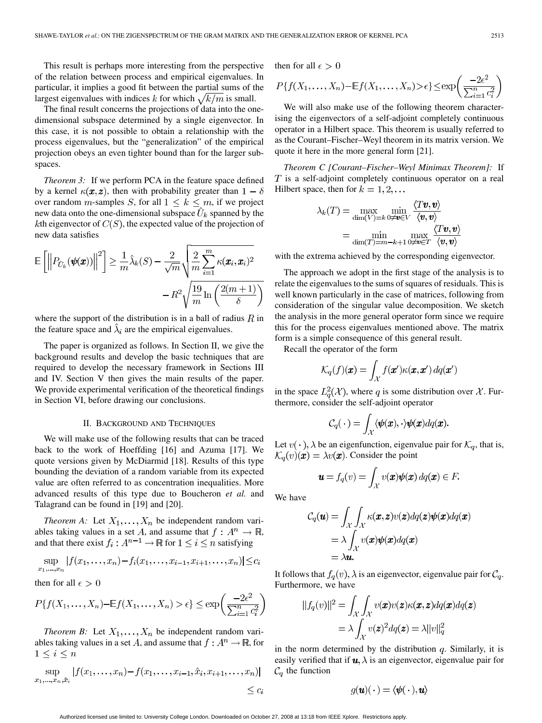This result is perhaps more interesting from the perspective of the relation between process and empirical eigenvalues. In particular, it implies a good fit between the partial sums of the largest eigenvalues with indices k for which  $\sqrt{k/m}$  is small.

The final result concerns the projections of data into the onedimensional subspace determined by a single eigenvector. In this case, it is not possible to obtain a relationship with the process eigenvalues, but the "generalization" of the empirical projection obeys an even tighter bound than for the larger subspaces.

*Theorem 3:* If we perform PCA in the feature space defined by a kernel  $\kappa(\mathbf{x}, \mathbf{z})$ , then with probability greater than  $1 - \delta$ over random *m*-samples *S*, for all  $1 \leq k \leq m$ , if we project new data onto the one-dimensional subspace  $U_k$  spanned by the kth eigenvector of  $C(S)$ , the expected value of the projection of new data satisfies

$$
\mathbb{E}\left[\left\|P_{\hat{U}_k}(\boldsymbol{\psi}(\boldsymbol{x}))\right\|^2\right] \ge \frac{1}{m}\hat{\lambda}_k(S) - \frac{2}{\sqrt{m}}\sqrt{\frac{2}{m}\sum_{i=1}^m \kappa(\boldsymbol{x}_i, \boldsymbol{x}_i)^2} - R^2\sqrt{\frac{19}{m}\ln\left(\frac{2(m+1)}{\delta}\right)}
$$

where the support of the distribution is in a ball of radius  $R$  in the feature space and  $\lambda_i$  are the empirical eigenvalues.

The paper is organized as follows. In Section II, we give the background results and develop the basic techniques that are required to develop the necessary framework in Sections III and IV. Section V then gives the main results of the paper. We provide experimental verification of the theoretical findings in Section VI, before drawing our conclusions.

#### II. BACKGROUND AND TECHNIQUES

We will make use of the following results that can be traced back to the work of Hoeffding [\[16](#page-12-0)] and Azuma [\[17](#page-12-0)]. We quote versions given by McDiarmid [\[18](#page-12-0)]. Results of this type bounding the deviation of a random variable from its expected value are often referred to as concentration inequalities. More advanced results of this type due to Boucheron *et al.* and Talagrand can be found in [[19\]](#page-12-0) and [\[20](#page-12-0)].

*Theorem A:* Let  $X_1, \ldots, X_n$  be independent random variables taking values in a set A, and assume that  $f: A^n \to \mathbb{R}$ , and that there exist  $f_i: A^{n-1} \to \mathbb{R}$  for  $1 \leq i \leq n$  satisfying

$$
\sup_{x_1,\dots,x_n} |f(x_1,\dots,x_n) - f_i(x_1,\dots,x_{i-1},x_{i+1},\dots,x_n)| \leq c_i
$$

then for all  $\epsilon > 0$ 

$$
P\{f(X_1,\ldots,X_n) - \mathbb{E}f(X_1,\ldots,X_n) > \epsilon\} \le \exp\left(\frac{-2\epsilon^2}{\sum_{i=1}^n c_i^2}\right)
$$

*Theorem B:* Let  $X_1, \ldots, X_n$  be independent random variables taking values in a set A, and assume that  $f: A^n \to \mathbb{R}$ , for  $1\leq i\leq n$ 

$$
\sup_{x_1, \dots, x_n, \hat{x}_i} |f(x_1, \dots, x_n) - f(x_1, \dots, x_{i-1}, \hat{x}_i, x_{i+1}, \dots, x_n)| \le c_i
$$

then for all  $\epsilon > 0$ 

$$
P\{f(X_1,\ldots,X_n) - \mathbb{E}f(X_1,\ldots,X_n) > \epsilon\} \le \exp\left(\frac{-2\epsilon^2}{\sum_{i=1}^n c_i^2}\right)
$$

We will also make use of the following theorem characterising the eigenvectors of a self-adjoint completely continuous operator in a Hilbert space. This theorem is usually referred to as the Courant–Fischer–Weyl theorem in its matrix version. We quote it here in the more general form [[21\]](#page-12-0).

*Theorem C [Courant–Fischer–Weyl Minimax Theorem]:* If  $T$  is a self-adjoint completely continuous operator on a real Hilbert space, then for  $k = 1, 2, \dots$ 

$$
\lambda_k(T) = \max_{\dim(V)=k} \min_{0 \neq v \in V} \frac{\langle T\mathbf{v}, \mathbf{v} \rangle}{\langle \mathbf{v}, \mathbf{v} \rangle}
$$

$$
= \min_{\dim(T)=m-k+1} \max_{0 \neq v \in T} \frac{\langle T\mathbf{v}, \mathbf{v} \rangle}{\langle \mathbf{v}, \mathbf{v} \rangle}
$$

with the extrema achieved by the corresponding eigenvector.

The approach we adopt in the first stage of the analysis is to relate the eigenvalues to the sums of squares of residuals. This is well known particularly in the case of matrices, following from consideration of the singular value decomposition. We sketch the analysis in the more general operator form since we require this for the process eigenvalues mentioned above. The matrix form is a simple consequence of this general result.

Recall the operator of the form

$$
\mathcal{K}_q(f)(\boldsymbol{x}) = \int_{\mathcal{X}} f(\boldsymbol{x}') \kappa(\boldsymbol{x}, \boldsymbol{x}') \, dq(\boldsymbol{x}')
$$

in the space  $L_q^2(\mathcal{X})$ , where q is some distribution over  $\mathcal{X}$ . Furthermore, consider the self-adjoint operator

$$
\mathcal{C}_q(\,\cdot\,) = \int_{\mathcal{X}} \langle \pmb{\psi}(\pmb{x}), \cdot \rangle \pmb{\psi}(\pmb{x}) dq(\pmb{x}).
$$

Let  $v(\cdot)$ ,  $\lambda$  be an eigenfunction, eigenvalue pair for  $\mathcal{K}_q$ , that is,  $\mathcal{K}_q(v)(x) = \lambda v(x)$ . Consider the point

$$
\mathbf{u} = f_q(v) = \int_{\mathcal{X}} v(\mathbf{x}) \boldsymbol{\psi}(\mathbf{x}) \, dq(\mathbf{x}) \in F
$$

We have

$$
C_q(\boldsymbol{u}) = \int_{\mathcal{X}} \int_{\mathcal{X}} \kappa(\boldsymbol{x}, \boldsymbol{z}) v(\boldsymbol{z}) dq(\boldsymbol{z}) \boldsymbol{\psi}(\boldsymbol{x}) dq(\boldsymbol{x})
$$
  
=  $\lambda \int_{\mathcal{X}} v(\boldsymbol{x}) \boldsymbol{\psi}(\boldsymbol{x}) dq(\boldsymbol{x})$   
=  $\lambda \boldsymbol{u}.$ 

It follows that  $f_q(v)$ ,  $\lambda$  is an eigenvector, eigenvalue pair for  $C_q$ . Furthermore, we have

$$
||f_q(v)||^2 = \int_{\mathcal{X}} \int_{\mathcal{X}} v(\mathbf{x})v(\mathbf{z})\kappa(\mathbf{x}, \mathbf{z})dq(\mathbf{x})dq(\mathbf{z})
$$
  
=  $\lambda \int_{\mathcal{X}} v(\mathbf{z})^2 dq(\mathbf{z}) = \lambda ||v||_q^2$ 

in the norm determined by the distribution  $q$ . Similarly, it is easily verified that if  $u, \lambda$  is an eigenvector, eigenvalue pair for  $\mathcal{C}_q$  the function

$$
g(\boldsymbol{u})(\,\cdot\,) = \langle \boldsymbol{\psi}(\,\cdot\,), \boldsymbol{u}\rangle
$$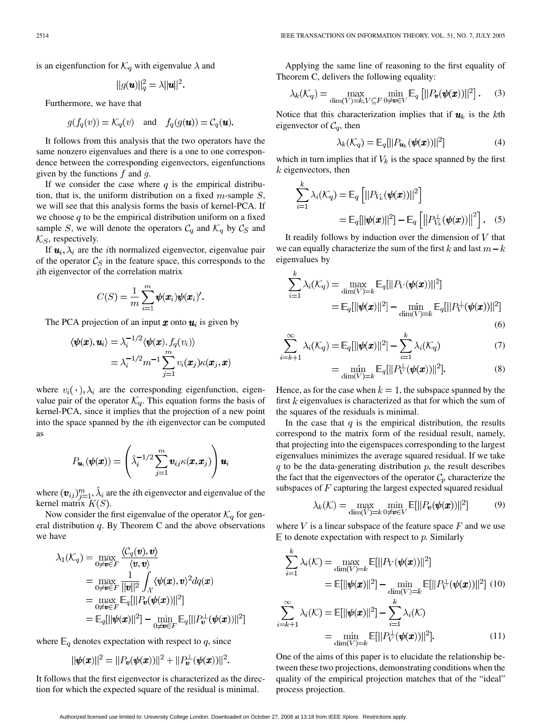is an eigenfunction for  $\mathcal{K}_q$  with eigenvalue  $\lambda$  and

$$
||g(\mathbf{u})||_q^2 = \lambda ||\mathbf{u}||^2.
$$

Furthermore, we have that

$$
g(f_q(v)) = \mathcal{K}_q(v)
$$
 and  $f_q(g(u)) = \mathcal{C}_q(u)$ .

It follows from this analysis that the two operators have the same nonzero eigenvalues and there is a one to one correspondence between the corresponding eigenvectors, eigenfunctions given by the functions  $f$  and  $g$ .

If we consider the case where  $q$  is the empirical distribution, that is, the uniform distribution on a fixed  $m$ -sample  $S$ , we will see that this analysis forms the basis of kernel-PCA. If we choose  $q$  to be the empirical distribution uniform on a fixed sample S, we will denote the operators  $C_q$  and  $K_q$  by  $C_S$  and  $\mathcal{K}_S$ , respectively.

If  $u_i, \lambda_i$  are the *i*th normalized eigenvector, eigenvalue pair of the operator  $\mathcal{C}_S$  in the feature space, this corresponds to the ith eigenvector of the correlation matrix

$$
C(S) = \frac{1}{m} \sum_{i=1}^{m} \psi(\boldsymbol{x}_i) \psi(\boldsymbol{x}_i)'
$$

The PCA projection of an input x onto  $u_i$  is given by

$$
\langle \boldsymbol{\psi}(\boldsymbol{x}), \boldsymbol{u}_i \rangle = \lambda_i^{-1/2} \langle \boldsymbol{\psi}(\boldsymbol{x}), f_q(v_i) \rangle
$$
  
=  $\lambda_i^{-1/2} m^{-1} \sum_{j=1}^m v_i(\boldsymbol{x}_j) \kappa(\boldsymbol{x}_j, \boldsymbol{x})$ 

where  $v_i(\cdot), \lambda_i$  are the corresponding eigenfunction, eigenvalue pair of the operator  $\mathcal{K}_q$ . This equation forms the basis of kernel-PCA, since it implies that the projection of a new point into the space spanned by the  $i$ th eigenvector can be computed as

$$
P_{\boldsymbol{u}_i}(\boldsymbol{\psi}(\boldsymbol{x})) = \left(\hat{\lambda}_i^{-1/2} \sum_{j=1}^m v_{ij} \kappa(\boldsymbol{x}, \boldsymbol{x}_j)\right) \boldsymbol{u}_i
$$

where  $(v_{ij})_{i=1}^m, \lambda_i$  are the *i*th eigenvector and eigenvalue of the kernel matrix  $K(S)$ .

Now consider the first eigenvalue of the operator  $\mathcal{K}_q$  for general distribution  $q$ . By Theorem C and the above observations we have

$$
\begin{aligned} \lambda_1(\mathcal{K}_q) &= \max_{0 \neq \boldsymbol{v} \in F} \frac{\langle \mathcal{C}_q(\boldsymbol{v}), \boldsymbol{v} \rangle}{\langle \boldsymbol{v}, \boldsymbol{v} \rangle} \\ &= \max_{0 \neq \boldsymbol{v} \in F} \frac{1}{\|\boldsymbol{v}\|^2} \int_{\mathcal{X}} \langle \boldsymbol{\psi}(\boldsymbol{x}), \boldsymbol{v} \rangle^2 d q(\boldsymbol{x}) \\ &= \max_{0 \neq \boldsymbol{v} \in F} \mathbb{E}_q [\| P_{\boldsymbol{v}}(\boldsymbol{\psi}(\boldsymbol{x})) \|^2] \\ &= \mathbb{E}_q [\| \boldsymbol{\psi}(\boldsymbol{x}) \|^2] - \min_{0 \neq \boldsymbol{v} \in F} \mathbb{E}_q [\| P_{\boldsymbol{v}}^\perp(\boldsymbol{\psi}(\boldsymbol{x})) \|^2] \end{aligned}
$$

where  $\mathbb{E}_q$  denotes expectation with respect to q, since

$$
||\psi(x)||^2 = ||P_v(\psi(x))||^2 + ||P_v^{\perp}(\psi(x))||^2.
$$

It follows that the first eigenvector is characterized as the direction for which the expected square of the residual is minimal.

Applying the same line of reasoning to the first equality of Theorem C, delivers the following equality:

$$
\lambda_k(\mathcal{K}_q) = \max_{\dim(V)=k, V \subseteq F} \min_{0 \neq v \in V} \mathbb{E}_q \left[ ||P_v(\boldsymbol{\psi}(\boldsymbol{x}))||^2 \right]. \tag{3}
$$

Notice that this characterization implies that if  $u_k$  is the kth eigenvector of  $C_q$ , then

$$
\lambda_k(\mathcal{K}_q) = \mathbb{E}_q[||P_{\mathbf{u}_k}(\boldsymbol{\psi}(\boldsymbol{x}))||^2]
$$
 (4)

which in turn implies that if  $V_k$  is the space spanned by the first  $k$  eigenvectors, then

$$
\sum_{i=1}^{k} \lambda_i(\mathcal{K}_q) = \mathbb{E}_q \left[ ||P_{V_k}(\boldsymbol{\psi}(\boldsymbol{x}))||^2 \right]
$$
  
=  $\mathbb{E}_q[||\boldsymbol{\psi}(\boldsymbol{x})||^2] - \mathbb{E}_q \left[ ||P_{V_k}^{\perp}(\boldsymbol{\psi}(\boldsymbol{x}))||^2 \right].$  (5)

It readily follows by induction over the dimension of  $V$  that we can equally characterize the sum of the first k and last  $m - k$ eigenvalues by

$$
\sum_{i=1}^{k} \lambda_i(\mathcal{K}_q) = \max_{\dim(V)=k} \mathbb{E}_q[||P_V(\boldsymbol{\psi}(\boldsymbol{x}))||^2]
$$
  
= 
$$
\mathbb{E}_q[||\boldsymbol{\psi}(\boldsymbol{x})||^2] - \min_{\dim(V)=k} \mathbb{E}_q[||P_V^{\perp}(\boldsymbol{\psi}(\boldsymbol{x}))||^2]
$$
(6)

$$
\sum_{i=k+1}^{\infty} \lambda_i(\mathcal{K}_q) = \mathbb{E}_q[||\psi(\pmb{x})||^2] - \sum_{i=1}^{k} \lambda_i(\mathcal{K}_q)
$$
\n(7)

$$
= \min_{\dim(V)=k} \mathbb{E}_q[||P_V^{\perp}(\boldsymbol{\psi}(\boldsymbol{x}))||^2]. \tag{8}
$$

Hence, as for the case when  $k = 1$ , the subspace spanned by the first  $k$  eigenvalues is characterized as that for which the sum of the squares of the residuals is minimal.

In the case that  $q$  is the empirical distribution, the results correspond to the matrix form of the residual result, namely, that projecting into the eigenspaces corresponding to the largest eigenvalues minimizes the average squared residual. If we take  $q$  to be the data-generating distribution  $p$ , the result describes the fact that the eigenvectors of the operator  $C_p$  characterize the subspaces of  $F$  capturing the largest expected squared residual

$$
\lambda_k(\mathcal{K}) = \max_{\dim(V)=k} \min_{0 \neq \mathbf{v} \in V} \mathbb{E}[\|P_{\mathbf{v}}(\boldsymbol{\psi}(\boldsymbol{x}))\|^2] \tag{9}
$$

where  $V$  is a linear subspace of the feature space  $F$  and we use  $E$  to denote expectation with respect to p. Similarly

$$
\sum_{i=1}^{k} \lambda_i(\mathcal{K}) = \max_{\text{dim}(V)=k} \mathbb{E}[||P_V(\psi(\pmb{x}))||^2]
$$
  
\n
$$
= \mathbb{E}[||\psi(\pmb{x})||^2] - \min_{\text{dim}(V)=k} \mathbb{E}[||P_V^+(\psi(\pmb{x}))||^2] \tag{10}
$$
  
\n
$$
\sum_{i=k+1}^{\infty} \lambda_i(\mathcal{K}) = \mathbb{E}[||\psi(\pmb{x})||^2] - \sum_{i=1}^{k} \lambda_i(\mathcal{K})
$$
  
\n
$$
= \min_{\text{dim}(V)=k} \mathbb{E}[||P_V^+(\psi(\pmb{x}))||^2]. \tag{11}
$$

One of the aims of this paper is to elucidate the relationship between these two projections, demonstrating conditions when the quality of the empirical projection matches that of the "ideal" process projection.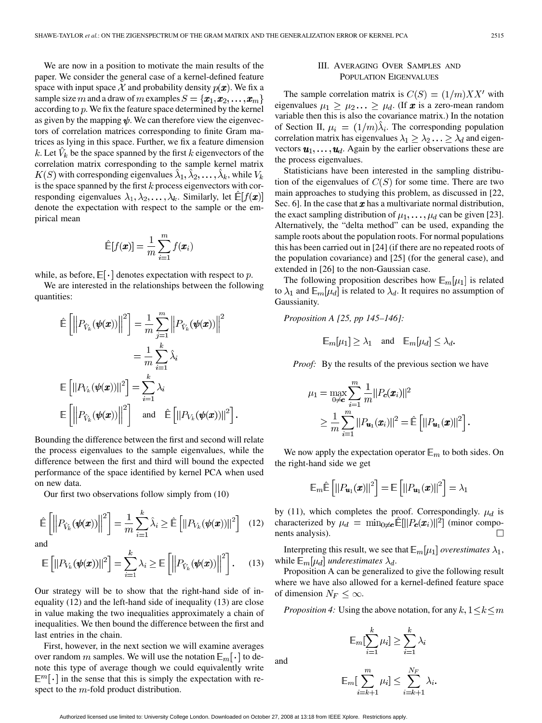We are now in a position to motivate the main results of the paper. We consider the general case of a kernel-defined feature space with input space  $\mathcal X$  and probability density  $p(\mathbf x)$ . We fix a sample size m and a draw of m examples  $S = \{x_1, x_2, \ldots, x_m\}$ according to  $p$ . We fix the feature space determined by the kernel as given by the mapping  $\psi$ . We can therefore view the eigenvectors of correlation matrices corresponding to finite Gram matrices as lying in this space. Further, we fix a feature dimension k. Let  $V_k$  be the space spanned by the first k eigenvectors of the correlation matrix corresponding to the sample kernel matrix  $K(S)$  with corresponding eigenvalues  $\lambda_1, \lambda_2, \ldots, \lambda_k$ , while  $V_k$ is the space spanned by the first  $k$  process eigenvectors with corresponding eigenvalues  $\lambda_1, \lambda_2, \ldots, \lambda_k$ . Similarly, let  $\mathbb{E}[f(\boldsymbol{x})]$ denote the expectation with respect to the sample or the empirical mean

$$
\hat{\mathbb{E}}[f(\boldsymbol{x})] = \frac{1}{m} \sum_{i=1}^{m} f(\boldsymbol{x}_i)
$$

while, as before,  $\mathbb{E}[\cdot]$  denotes expectation with respect to p.

We are interested in the relationships between the following quantities:

$$
\hat{\mathbb{E}}\left[\left\|P_{\hat{V}_k}(\boldsymbol{\psi}(\boldsymbol{x}))\right\|^2\right] = \frac{1}{m} \sum_{j=1}^m \left\|P_{\hat{V}_k}(\boldsymbol{\psi}(\boldsymbol{x}))\right\|^2
$$

$$
= \frac{1}{m} \sum_{i=1}^k \hat{\lambda}_i
$$

$$
\mathbb{E}\left[\|P_{\hat{V}_k}(\boldsymbol{\psi}(\boldsymbol{x}))\|^2\right] = \sum_{i=1}^k \lambda_i
$$

$$
\mathbb{E}\left[\left\|P_{\hat{V}_k}(\boldsymbol{\psi}(\boldsymbol{x}))\right\|^2\right] \text{ and } \hat{\mathbb{E}}\left[\left\|P_{\hat{V}_k}(\boldsymbol{\psi}(\boldsymbol{x}))\right\|^2\right].
$$

Bounding the difference between the first and second will relate the process eigenvalues to the sample eigenvalues, while the difference between the first and third will bound the expected performance of the space identified by kernel PCA when used on new data.

Our first two observations follow simply from (10)

$$
\hat{\mathbb{E}}\left[\left\|P_{\hat{V}_k}(\boldsymbol{\psi}(\boldsymbol{x}))\right\|^2\right] = \frac{1}{m}\sum_{i=1}^k \hat{\lambda}_i \ge \hat{\mathbb{E}}\left[\left\|P_{V_k}(\boldsymbol{\psi}(\boldsymbol{x}))\right\|^2\right] \quad (12)
$$

and

$$
\mathbb{E}\left[\left\|P_{V_k}(\boldsymbol{\psi}(\boldsymbol{x}))\right\|^2\right] = \sum_{i=1}^k \lambda_i \ge \mathbb{E}\left[\left\|P_{\hat{V}_k}(\boldsymbol{\psi}(\boldsymbol{x}))\right\|^2\right].
$$
 (13)

Our strategy will be to show that the right-hand side of inequality (12) and the left-hand side of inequality (13) are close in value making the two inequalities approximately a chain of inequalities. We then bound the difference between the first and last entries in the chain.

First, however, in the next section we will examine averages over random m samples. We will use the notation  $\mathbb{E}_m[\cdot]$  to denote this type of average though we could equivalently write  $\mathbb{E}^m[\cdot]$  in the sense that this is simply the expectation with respect to the  $m$ -fold product distribution.

# III. AVERAGING OVER SAMPLES AND POPULATION EIGENVALUES

The sample correlation matrix is  $C(S) = (1/m)XX'$  with eigenvalues  $\mu_1 \geq \mu_2 ... \geq \mu_d$ . (If x is a zero-mean random variable then this is also the covariance matrix.) In the notation of Section II,  $\mu_i = (1/m)\lambda_i$ . The corresponding population correlation matrix has eigenvalues  $\lambda_1 \geq \lambda_2 \ldots \geq \lambda_d$  and eigenvectors  $u_1, \ldots, u_d$ . Again by the earlier observations these are the process eigenvalues.

Statisticians have been interested in the sampling distribution of the eigenvalues of  $C(S)$  for some time. There are two main approaches to studying this problem, as discussed in [[22,](#page-12-0) Sec. 6]. In the case that  $x$  has a multivariate normal distribution, the exact sampling distribution of  $\mu_1, \ldots, \mu_d$  can be given [\[23](#page-12-0)]. Alternatively, the "delta method" can be used, expanding the sample roots about the population roots. For normal populations this has been carried out in [\[24](#page-12-0)] (if there are no repeated roots of the population covariance) and [[25\]](#page-12-0) (for the general case), and extended in [\[26](#page-12-0)] to the non-Gaussian case.

The following proposition describes how  $\mathbb{E}_{m}[\mu_1]$  is related to  $\lambda_1$  and  $\mathbb{E}_m[\mu_d]$  is related to  $\lambda_d$ . It requires no assumption of Gaussianity.

*Proposition A [\[25](#page-12-0), pp 145–146]:*

$$
\mathbb{E}_m[\mu_1] \geq \lambda_1
$$
 and  $\mathbb{E}_m[\mu_d] \leq \lambda_d$ .

*Proof:* By the results of the previous section we have

$$
\mu_1 = \max_{0 \neq c} \sum_{i=1}^{m} \frac{1}{m} ||P_c(\pmb{x}_i)||^2
$$
  
\n
$$
\geq \frac{1}{m} \sum_{i=1}^{m} ||P_{\pmb{u}_1}(\pmb{x}_i)||^2 = \hat{\mathbb{E}} \left[ ||P_{\pmb{u}_1}(\pmb{x})||^2 \right]
$$

We now apply the expectation operator  $\mathbb{E}_m$  to both sides. On the right-hand side we get

$$
\mathsf{E}_m \hat{\mathsf{E}}\left[||P_{\mathbf{u}_1}(\boldsymbol{x})||^2\right] = \mathsf{E}\left[||P_{\mathbf{u}_1}(\boldsymbol{x})||^2\right] = \lambda_1
$$

by (11), which completes the proof. Correspondingly.  $\mu_d$  is characterized by  $\mu_d = \min_{0 \neq c} \mathbb{E}[\Vert P_c(\pmb{x}_i) \Vert^2]$  (minor components analysis).

Interpreting this result, we see that  $\mathbb{E}_m[\mu_1]$  overestimates  $\lambda_1$ , while  $\mathbb{E}_m[\mu_d]$  *underestimates*  $\lambda_d$ .

Proposition A can be generalized to give the following result where we have also allowed for a kernel-defined feature space of dimension  $N_F \leq \infty$ .

*Proposition 4:* Using the above notation, for any  $k, 1 \leq k \leq m$ 

$$
\mathbb{E}_m[\sum_{i=1}^k \mu_i] \ge \sum_{i=1}^k \lambda_i
$$

and

$$
\mathbb{E}_m[\sum_{i=k+1}^m \mu_i] \leq \sum_{i=k+1}^{N_F} \lambda_i.
$$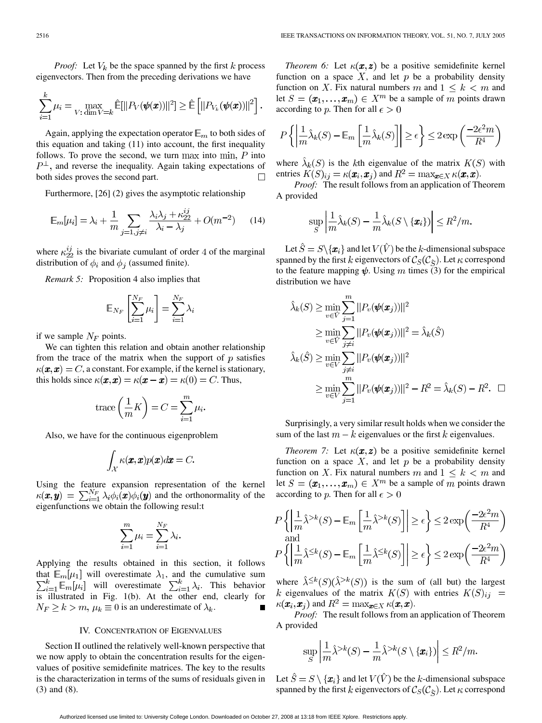*Proof:* Let  $V_k$  be the space spanned by the first k process eigenvectors. Then from the preceding derivations we have

$$
\sum_{i=1}^k \mu_i = \max_{V : \dim V = k} \hat{E}[\|P_V(\psi(\pmb{x}))\|^2] \ge \hat{E}\left[ \|P_{V_k}(\psi(\pmb{x}))\|^2 \right].
$$

Again, applying the expectation operator  $\mathbb{E}_m$  to both sides of this equation and taking (11) into account, the first inequality follows. To prove the second, we turn  $max$  into  $min$ ,  $P$  into  $P^{\perp}$ , and reverse the inequality. Again taking expectations of  $\Box$ both sides proves the second part.

Furthermore, [[26\]](#page-12-0) (2) gives the asymptotic relationship

$$
\mathbb{E}_m[\mu_i] = \lambda_i + \frac{1}{m} \sum_{j=1, j \neq i} \frac{\lambda_i \lambda_j + \kappa_{22}^{ij}}{\lambda_i - \lambda_j} + O(m^{-2}) \tag{14}
$$

where  $\kappa_{22}^{ij}$  is the bivariate cumulant of order 4 of the marginal distribution of  $\phi_i$  and  $\phi_j$  (assumed finite).

*Remark 5:* Proposition 4 also implies that

$$
\mathbb{E}_{N_F}\left[\sum_{i=1}^{N_F} \mu_i\right] = \sum_{i=1}^{N_F} \lambda_i
$$

if we sample  $N_F$  points.

We can tighten this relation and obtain another relationship from the trace of the matrix when the support of  $p$  satisfies  $\kappa(\mathbf{x}, \mathbf{x}) = C$ , a constant. For example, if the kernel is stationary, this holds since  $\kappa(\mathbf{x}, \mathbf{x}) = \kappa(\mathbf{x} - \mathbf{x}) = \kappa(0) = C$ . Thus,

trace 
$$
\left(\frac{1}{m}K\right) = C = \sum_{i=1}^{m} \mu_i
$$
.

Also, we have for the continuous eigenproblem

$$
\int_{\mathcal{X}} \kappa(\pmb{x}, \pmb{x}) p(\pmb{x}) d\pmb{x} = C.
$$

Using the feature expansion representation of the kernel  $\kappa(\pmb{x}, \pmb{y}) = \sum_{i=1}^{N_F} \lambda_i \phi_i(\pmb{x}) \phi_i(\pmb{y})$  and the orthonormality of the eigenfunctions we obtain the following resul:t

$$
\sum_{i=1}^m \mu_i = \sum_{i=1}^{N_F} \lambda_i
$$

Applying the results obtained in this section, it follows that  $\mathbb{E}_{m}[\mu_1]$  will overestimate  $\lambda_1$ , and the cumulative sum will overestimate  $\sum_{i=1}^{\kappa} \lambda_i$ . This behavior is illustrated in Fig. 1(b). At the other end, clearly for  $N_F \ge k > m$ ,  $\mu_k \equiv 0$  is an underestimate of  $\lambda_k$ .

#### IV. CONCENTRATION OF EIGENVALUES

Section II outlined the relatively well-known perspective that we now apply to obtain the concentration results for the eigenvalues of positive semidefinite matrices. The key to the results is the characterization in terms of the sums of residuals given in (3) and (8).

*Theorem 6:* Let  $\kappa(\mathbf{x}, \mathbf{z})$  be a positive semidefinite kernel function on a space  $X$ , and let  $p$  be a probability density function on X. Fix natural numbers m and  $1 \leq k \leq m$  and let  $S = (\pmb{x}_1, \dots, \pmb{x}_m) \in X^m$  be a sample of m points drawn according to p. Then for all  $\epsilon > 0$ 

$$
P\left\{ \left| \frac{1}{m}\hat{\lambda}_k(S) - \mathbb{E}_m\left[\frac{1}{m}\hat{\lambda}_k(S)\right] \right| \ge \epsilon \right\} \le 2\exp\left(\frac{-2\epsilon^2 m}{R^4}\right)
$$

where  $\hat{\lambda}_k(S)$  is the kth eigenvalue of the matrix  $K(S)$  with entries  $K(S)_{ij} = \kappa(\mathbf{x}_i, \mathbf{x}_j)$  and  $R^2 = \max_{\mathbf{x} \in X} \kappa(\mathbf{x}, \mathbf{x})$ .

*Proof:* The result follows from an application of Theorem A provided

$$
\sup_{S} \left| \frac{1}{m} \hat{\lambda}_k(S) - \frac{1}{m} \hat{\lambda}_k(S \setminus \{ \pmb{x}_i \}) \right| \leq R^2 / m.
$$

Let  $\hat{S} = S \setminus \{x_i\}$  and let  $V(\hat{V})$  be the k-dimensional subspace spanned by the first k eigenvectors of  $C_S(\mathcal{C}_S)$ . Let  $\kappa$  correspond to the feature mapping  $\psi$ . Using m times (3) for the empirical distribution we have

$$
\hat{\lambda}_{k}(S) \ge \min_{v \in \hat{V}} \sum_{j=1}^{m} ||P_{v}(\psi(x_{j}))||^{2}
$$
\n
$$
\ge \min_{v \in \hat{V}} \sum_{j \neq i}^{m} ||P_{v}(\psi(x_{j}))||^{2} = \hat{\lambda}_{k}(\hat{S})
$$
\n
$$
\hat{\lambda}_{k}(\hat{S}) \ge \min_{v \in V} \sum_{j \neq i}^{m} ||P_{v}(\psi(x_{j}))||^{2}
$$
\n
$$
\ge \min_{v \in V} \sum_{j=1}^{m} ||P_{v}(\psi(x_{j}))||^{2} - R^{2} = \hat{\lambda}_{k}(S) - R^{2}. \quad \Box
$$

Surprisingly, a very similar result holds when we consider the sum of the last  $m - k$  eigenvalues or the first k eigenvalues.

*Theorem 7:* Let  $\kappa(\mathbf{x}, \mathbf{z})$  be a positive semidefinite kernel function on a space  $X$ , and let  $p$  be a probability density function on X. Fix natural numbers m and  $1 \leq k < m$  and let  $S = (\mathbf{x}_1, \dots, \mathbf{x}_m) \in X^m$  be a sample of m points drawn according to p. Then for all  $\epsilon > 0$ 

$$
P\left\{ \left| \frac{1}{m} \hat{\lambda}^{>k}(S) - \mathbb{E}_m \left[ \frac{1}{m} \hat{\lambda}^{>k}(S) \right] \right| \ge \epsilon \right\} \le 2 \exp\left(\frac{-2\epsilon^2 m}{R^4}\right)
$$
  
and  

$$
P\left\{ \left| \frac{1}{m} \hat{\lambda}^{\le k}(S) - \mathbb{E}_m \left[ \frac{1}{m} \hat{\lambda}^{\le k}(S) \right] \right| \ge \epsilon \right\} \le 2 \exp\left(\frac{-2\epsilon^2 m}{R^4}\right)
$$

where  $\hat{\lambda}^{\leq k}(S)(\hat{\lambda}^{>k}(S))$  is the sum of (all but) the largest k eigenvalues of the matrix  $K(S)$  with entries  $K(S)_{ii}$  =  $\kappa(\boldsymbol{x}_i, \boldsymbol{x}_j)$  and  $R^2 = \max_{\boldsymbol{x} \in X} \kappa(\boldsymbol{x}, \boldsymbol{x})$ .

*Proof:* The result follows from an application of Theorem A provided

$$
\sup_{S} \left| \frac{1}{m} \hat{\lambda}^{>k}(S) - \frac{1}{m} \hat{\lambda}^{>k}(S \setminus \{x_i\}) \right| \leq R^2 / m.
$$

Let  $\hat{S} = S \setminus \{x_i\}$  and let  $V(\hat{V})$  be the k-dimensional subspace spanned by the first k eigenvectors of  $C_S(\mathcal{C}_S)$ . Let  $\kappa$  correspond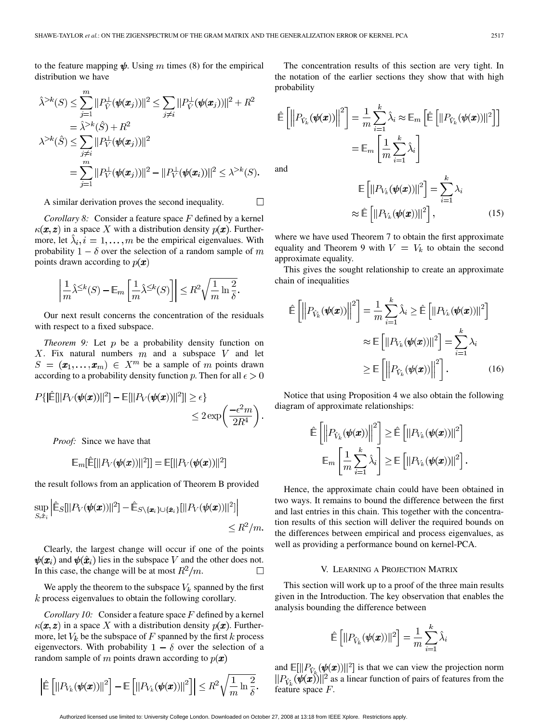to the feature mapping  $\psi$ . Using m times (8) for the empirical distribution we have

$$
\hat{\lambda}^{>k}(S) \leq \sum_{j=1}^{m} ||P_{\hat{V}}^{\perp}(\psi(x_j))||^2 \leq \sum_{j \neq i} ||P_{\hat{V}}^{\perp}(\psi(x_j))||^2 + R^2
$$
  
\n
$$
= \hat{\lambda}^{>k}(\hat{S}) + R^2
$$
  
\n
$$
\lambda^{>k}(\hat{S}) \leq \sum_{j \neq i} ||P_{V}^{\perp}(\psi(x_j))||^2
$$
  
\n
$$
= \sum_{j=1}^{m} ||P_{V}^{\perp}(\psi(x_j))||^2 - ||P_{V}^{\perp}(\psi(x_i))||^2 \leq \lambda^{>k}(S).
$$

A similar derivation proves the second inequality.

*Corollary 8:* Consider a feature space  $F$  defined by a kernel  $\kappa(\mathbf{x}, \mathbf{z})$  in a space X with a distribution density  $p(\mathbf{x})$ . Furthermore, let  $\lambda_i, i = 1, \ldots, m$  be the empirical eigenvalues. With probability  $1 - \delta$  over the selection of a random sample of m points drawn according to  $p(x)$ 

$$
\left|\frac{1}{m}\hat{\lambda}^{\leq k}(S)-\mathbb{E}_m\left[\frac{1}{m}\hat{\lambda}^{\leq k}(S)\right]\right|\leq R^2\sqrt{\frac{1}{m}\ln\frac{2}{\delta}}
$$

Our next result concerns the concentration of the residuals with respect to a fixed subspace.

*Theorem 9:* Let  $p$  be a probability density function on X. Fix natural numbers  $m$  and a subspace V and let  $S = (\mathbf{x}_1, \dots, \mathbf{x}_m) \in X^m$  be a sample of m points drawn according to a probability density function p. Then for all  $\epsilon > 0$ 

$$
P\{|\hat{\mathbb{E}}[\|P_V(\boldsymbol{\psi}(\boldsymbol{x}))\|^2] - \mathbb{E}[\|P_V(\boldsymbol{\psi}(\boldsymbol{x}))\|^2]| \geq \epsilon\} \leq 2\exp\left(\frac{-\epsilon^2 m}{2R^4}\right).
$$

*Proof:* Since we have that

$$
\mathbb{E}_m[\hat{\mathbb{E}}[||P_V(\boldsymbol{\psi}(\boldsymbol{x}))||^2]] = \mathbb{E}[||P_V(\boldsymbol{\psi}(\boldsymbol{x}))||^2]
$$

the result follows from an application of Theorem B provided

$$
\sup_{S,\hat{x}_i} \left| \hat{\mathbb{E}}_S[\|P_V(\boldsymbol{\psi}(\boldsymbol{x}))\|^2] - \hat{\mathbb{E}}_{S\setminus{\{\boldsymbol{x}_i\}\cup{\{\hat{\boldsymbol{x}}_i\}}}}[\|P_V(\boldsymbol{\psi}(\boldsymbol{x}))\|^2]\right| \leq R^2/m
$$

Clearly, the largest change will occur if one of the points  $\psi(x_i)$  and  $\psi(\hat{x}_i)$  lies in the subspace V and the other does not. In this case, the change will be at most  $R^2/m$ .  $\Box$ 

We apply the theorem to the subspace  $V_k$  spanned by the first  $k$  process eigenvalues to obtain the following corollary.

*Corollary 10:* Consider a feature space  $F$  defined by a kernel  $\kappa(\mathbf{x}, \mathbf{z})$  in a space X with a distribution density  $p(\mathbf{x})$ . Furthermore, let  $V_k$  be the subspace of F spanned by the first k process eigenvectors. With probability  $1 - \delta$  over the selection of a random sample of m points drawn according to  $p(x)$ 

$$
\left|\hat{\mathbb{E}}\left[\left|\left|P_{V_k}(\pmb{\psi}(\pmb{x}))\right|\right|^2\right]-\mathbb{E}\left[\left|\left|P_{V_k}(\pmb{\psi}(\pmb{x}))\right|\right|^2\right]\right|\leq R^2\sqrt{\frac{1}{m}\ln{\frac{2}{\delta}}}.
$$

The concentration results of this section are very tight. In the notation of the earlier sections they show that with high probability

$$
\hat{\mathbb{E}}\left[\left\|P_{\hat{V}_k}(\boldsymbol{\psi}(\boldsymbol{x}))\right\|^2\right] = \frac{1}{m} \sum_{i=1}^k \hat{\lambda}_i \approx \mathbb{E}_m \left[\hat{\mathbb{E}}\left[||P_{\hat{V}_k}(\boldsymbol{\psi}(\boldsymbol{x}))||^2\right]\right]
$$
\n
$$
= \mathbb{E}_m \left[\frac{1}{m} \sum_{i=1}^k \hat{\lambda}_i\right]
$$

and

 $\Box$ 

$$
\mathbb{E}\left[\left\|P_{V_k}(\boldsymbol{\psi}(\boldsymbol{x}))\right\|^2\right] = \sum_{i=1}^k \lambda_i
$$
  

$$
\approx \hat{\mathbb{E}}\left[\left\|P_{V_k}(\boldsymbol{\psi}(\boldsymbol{x}))\right\|^2\right],
$$
 (15)

where we have used Theorem 7 to obtain the first approximate equality and Theorem 9 with  $V = V_k$  to obtain the second approximate equality.

This gives the sought relationship to create an approximate chain of inequalities

$$
\hat{\mathbb{E}}\left[\left\|P_{\hat{V}_k}(\boldsymbol{\psi}(\boldsymbol{x}))\right\|^2\right] = \frac{1}{m}\sum_{i=1}^k \hat{\lambda}_i \ge \hat{\mathbb{E}}\left[\left\|P_{V_k}(\boldsymbol{\psi}(\boldsymbol{x}))\right\|^2\right] \n\approx \mathbb{E}\left[\left\|P_{V_k}(\boldsymbol{\psi}(\boldsymbol{x}))\right\|^2\right] = \sum_{i=1}^k \lambda_i \n\ge \mathbb{E}\left[\left\|P_{\hat{V}_k}(\boldsymbol{\psi}(\boldsymbol{x}))\right\|^2\right].
$$
\n(16)

Notice that using Proposition 4 we also obtain the following diagram of approximate relationships:

$$
\hat{\mathbb{E}}\left[\left\|P_{\hat{V}_k}(\boldsymbol{\psi}(\boldsymbol{x}))\right\|^2\right] \geq \hat{\mathbb{E}}\left[\left\|P_{V_k}(\boldsymbol{\psi}(\boldsymbol{x}))\right\|^2\right] \\
\mathbb{E}_m\left[\frac{1}{m}\sum_{i=1}^k\hat{\lambda}_i\right] \geq \mathbb{E}\left[\left\|P_{V_k}(\boldsymbol{\psi}(\boldsymbol{x}))\right\|^2\right].
$$

Hence, the approximate chain could have been obtained in two ways. It remains to bound the difference between the first and last entries in this chain. This together with the concentration results of this section will deliver the required bounds on the differences between empirical and process eigenvalues, as well as providing a performance bound on kernel-PCA.

## V. LEARNING A PROJECTION MATRIX

This section will work up to a proof of the three main results given in the Introduction. The key observation that enables the analysis bounding the difference between

$$
\hat{\mathbb{E}}\left[\|P_{\hat{V}_k}(\pmb{\psi}(\pmb{x}))\|^2\right] = \frac{1}{m}\sum_{i=1}^k\hat{\lambda}_i
$$

and  $\mathbb{E}[\Vert P_{\hat{V}_k}(\psi(\boldsymbol{x})) \Vert^2]$  is that we can view the projection norm  $||P_{\hat{V}_k}(\boldsymbol{\psi}(\boldsymbol{x}))||^2$  as a linear function of pairs of features from the feature space  $F$ .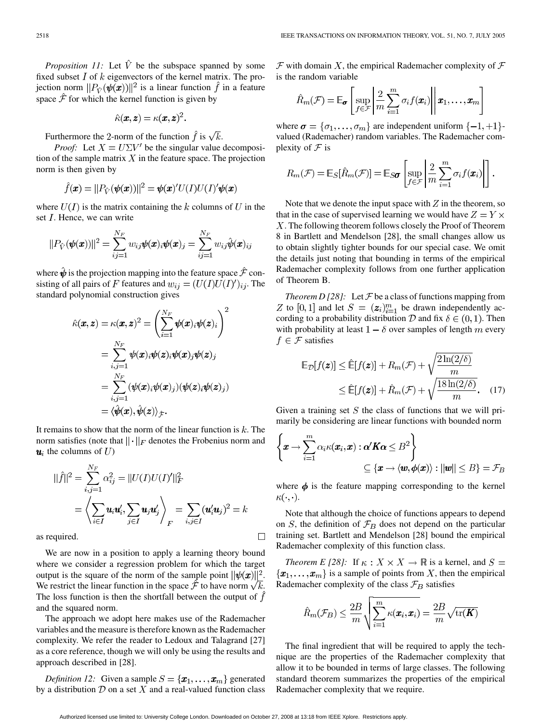*Proposition 11:* Let  $\hat{V}$  be the subspace spanned by some fixed subset  $I$  of  $k$  eigenvectors of the kernel matrix. The projection norm  $||P_{\hat{V}}(\psi(\boldsymbol{x}))||^2$  is a linear function  $\hat{f}$  in a feature space  $\hat{\mathcal{F}}$  for which the kernel function is given by

$$
\hat{\kappa}(\pmb{x},\pmb{z}) = \kappa(\pmb{x},\pmb{z})^2.
$$

Furthermore the 2-norm of the function  $\hat{f}$  is  $\sqrt{k}$ .

*Proof:* Let  $X = U\Sigma V'$  be the singular value decomposition of the sample matrix  $X$  in the feature space. The projection norm is then given by

$$
\hat{f}(\boldsymbol{x}) = ||P_{\hat{V}}(\boldsymbol{\psi}(\boldsymbol{x}))||^2 = \boldsymbol{\psi}(\boldsymbol{x})'U(I)U(I)'\boldsymbol{\psi}(\boldsymbol{x})
$$

where  $U(I)$  is the matrix containing the k columns of U in the set  $I$ . Hence, we can write

$$
||P_{\hat{V}}(\boldsymbol{\psi}(\boldsymbol{x}))||^2 = \sum_{ij=1}^{N_F} w_{ij} \boldsymbol{\psi}(\boldsymbol{x})_i \boldsymbol{\psi}(\boldsymbol{x})_j = \sum_{ij=1}^{N_F} w_{ij} \hat{\boldsymbol{\psi}}(\boldsymbol{x})_{ij}
$$

where  $\hat{\psi}$  is the projection mapping into the feature space  $\hat{\mathcal{F}}$  consisting of all pairs of F features and  $w_{ij} = (U(I)U(I))_{ij}$ . The standard polynomial construction gives

$$
\hat{\kappa}(\pmb{x},\pmb{z}) = \kappa(\pmb{x},\pmb{z})^2 = \left(\sum_{i=1}^{N_F} \pmb{\psi}(\pmb{x})_i \pmb{\psi}(\pmb{z})_i\right)^2 \\ = \sum_{i,j=1}^{N_F} \pmb{\psi}(\pmb{x})_i \pmb{\psi}(\pmb{z})_i \pmb{\psi}(\pmb{x})_j \pmb{\psi}(\pmb{z})_j \\ = \sum_{i,j=1}^{N_F} (\pmb{\psi}(\pmb{x})_i \pmb{\psi}(\pmb{x})_j) (\pmb{\psi}(\pmb{z})_i \pmb{\psi}(\pmb{z})_j) \\ = \langle \pmb{\hat{\psi}}(\pmb{x}), \pmb{\hat{\psi}}(\pmb{z}) \rangle_{\hat{\mathcal{F}}}.
$$

It remains to show that the norm of the linear function is  $k$ . The norm satisfies (note that  $\|\cdot\|_F$  denotes the Frobenius norm and  $u_i$  the columns of  $U$ )

$$
\|\hat{f}\|^2 = \sum_{i,j=1}^{N_F} \alpha_{ij}^2 = \|U(I)U(I)'\|_F^2
$$
  
=  $\left\langle \sum_{i \in I} \mathbf{u}_i \mathbf{u}_i', \sum_{j \in I} \mathbf{u}_j \mathbf{u}_j' \right\rangle_F = \sum_{i,j \in I} (\mathbf{u}_i' \mathbf{u}_j)^2 = k$ 

as required.

We are now in a position to apply a learning theory bound where we consider a regression problem for which the target output is the square of the norm of the sample point  $||\psi(x)||^2$ . We restrict the linear function in the space  $\hat{\mathcal{F}}$  to have norm  $\sqrt{k}$ . The loss function is then the shortfall between the output of  $\hat{f}$ and the squared norm.

The approach we adopt here makes use of the Rademacher variables and the measure is therefore known as the Rademacher complexity. We refer the reader to Ledoux and Talagrand [\[27](#page-12-0)] as a core reference, though we will only be using the results and approach described in [[28\]](#page-12-0).

*Definition 12:* Given a sample  $S = \{x_1, \ldots, x_m\}$  generated by a distribution  $D$  on a set  $X$  and a real-valued function class  $\mathcal F$  with domain X, the empirical Rademacher complexity of  $\mathcal F$ is the random variable

$$
\hat{R}_m(\mathcal{F}) = \mathbb{E}_{\boldsymbol{\sigma}}\left[\sup_{f \in \mathcal{F}} \left| \frac{2}{m} \sum_{i=1}^m \sigma_i f(\boldsymbol{x}_i) \right| \, \boldsymbol{x}_1, \ldots, \boldsymbol{x}_m \right]
$$

where  $\boldsymbol{\sigma} = {\sigma_1, \ldots, \sigma_m}$  are independent uniform  $\{-1, +1\}$ valued (Rademacher) random variables. The Rademacher complexity of  $\mathcal F$  is

$$
R_m(\mathcal{F}) = \mathbb{E}_S[\hat{R}_m(\mathcal{F})] = \mathbb{E}_{S\sigma}\left[\sup_{f \in \mathcal{F}} \left| \frac{2}{m} \sum_{i=1}^m \sigma_i f(\boldsymbol{x}_i) \right| \right].
$$

Note that we denote the input space with  $Z$  in the theorem, so that in the case of supervised learning we would have  $Z = Y \times$ . The following theorem follows closely the Proof of Theorem 8 in Bartlett and Mendelson [\[28](#page-12-0)], the small changes allow us to obtain slightly tighter bounds for our special case. We omit the details just noting that bounding in terms of the empirical Rademacher complexity follows from one further application of Theorem B.

*Theorem D [\[28](#page-12-0)]:* Let  $F$  be a class of functions mapping from Z to [0, 1] and let  $S = (z_i)_{i=1}^m$  be drawn independently according to a probability distribution  $D$  and fix  $\delta \in (0,1)$ . Then with probability at least  $1 - \delta$  over samples of length m every  $f \in \mathcal{F}$  satisfies

$$
\mathbb{E}_{\mathcal{D}}[f(\mathbf{z})] \leq \hat{\mathbb{E}}[f(\mathbf{z})] + R_m(\mathcal{F}) + \sqrt{\frac{2\ln(2/\delta)}{m}}
$$

$$
\leq \hat{\mathbb{E}}[f(\mathbf{z})] + \hat{R}_m(\mathcal{F}) + \sqrt{\frac{18\ln(2/\delta)}{m}}.
$$
(17)

Given a training set  $S$  the class of functions that we will primarily be considering are linear functions with bounded norm

$$
\left\{\boldsymbol{x} \rightarrow \sum_{i=1}^{m} \alpha_i \kappa(\boldsymbol{x}_i, \boldsymbol{x}) : \boldsymbol{\alpha'} \boldsymbol{K} \boldsymbol{\alpha} \leq B^2 \right\}
$$
  

$$
\subseteq \{\boldsymbol{x} \rightarrow \langle \boldsymbol{w}, \boldsymbol{\phi}(\boldsymbol{x}) \rangle : ||\boldsymbol{w}|| \leq B\} = \mathcal{F}_E
$$

where  $\phi$  is the feature mapping corresponding to the kernel  $\kappa(\cdot,\cdot).$ 

Note that although the choice of functions appears to depend on S, the definition of  $\mathcal{F}_B$  does not depend on the particular training set. Bartlett and Mendelson [[28\]](#page-12-0) bound the empirical Rademacher complexity of this function class.

*Theorem E [[28](#page-12-0)]:* If  $\kappa$  :  $X \times X \rightarrow \mathbb{R}$  is a kernel, and  $S =$  $\{\boldsymbol{x}_1,\ldots,\boldsymbol{x}_m\}$  is a sample of points from X, then the empirical Rademacher complexity of the class  $\mathcal{F}_B$  satisfies

$$
\hat{R}_m(\mathcal{F}_B) \le \frac{2B}{m} \sqrt{\sum_{i=1}^m \kappa(\boldsymbol{x}_i, \boldsymbol{x}_i)} = \frac{2B}{m} \sqrt{\text{tr}(\boldsymbol{K})}
$$

The final ingredient that will be required to apply the technique are the properties of the Rademacher complexity that allow it to be bounded in terms of large classes. The following standard theorem summarizes the properties of the empirical Rademacher complexity that we require.

 $\Box$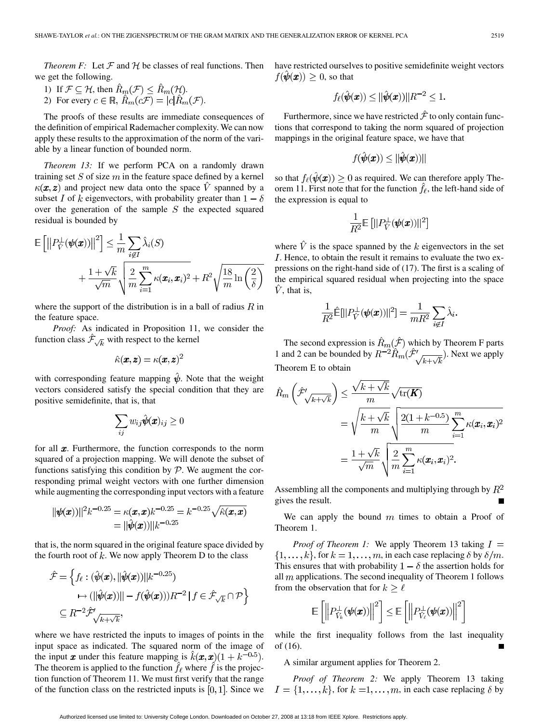*Theorem F:* Let  $F$  and  $H$  be classes of real functions. Then we get the following.

1) If 
$$
\mathcal{F} \subseteq \mathcal{H}
$$
, then  $\hat{R}_m(\mathcal{F}) \leq \hat{R}_m(\mathcal{H})$ .

2) For every 
$$
c \in \mathbb{R}
$$
,  $R_m(c\mathcal{F}) = |c|R_m(\mathcal{F})$ .

The proofs of these results are immediate consequences of the definition of empirical Rademacher complexity. We can now apply these results to the approximation of the norm of the variable by a linear function of bounded norm.

*Theorem 13:* If we perform PCA on a randomly drawn training set  $S$  of size  $m$  in the feature space defined by a kernel  $\kappa(\mathbf{x}, \mathbf{z})$  and project new data onto the space  $\hat{V}$  spanned by a subset I of k eigenvectors, with probability greater than  $1 - \delta$ over the generation of the sample  $S$  the expected squared residual is bounded by

$$
\mathbb{E}\left[\left\|P_{\hat{V}}^{\perp}(\boldsymbol{\psi}(\boldsymbol{x}))\right\|^2\right] \leq \frac{1}{m} \sum_{i \notin I} \hat{\lambda}_i(S)
$$

$$
+ \frac{1 + \sqrt{k}}{\sqrt{m}} \sqrt{\frac{2}{m} \sum_{i=1}^m \kappa(\boldsymbol{x}_i, \boldsymbol{x}_i)^2} + R^2 \sqrt{\frac{18}{m} \ln\left(\frac{2}{\delta}\right)}
$$

where the support of the distribution is in a ball of radius  $R$  in the feature space.

*Proof:* As indicated in Proposition 11, we consider the function class  $\mathcal{F}_{\sqrt{k}}$  with respect to the kernel

$$
\hat{\kappa}(\pmb{x},\pmb{z}) = \kappa(\pmb{x},\pmb{z})^2
$$

with corresponding feature mapping  $\hat{\psi}$ . Note that the weight vectors considered satisfy the special condition that they are positive semidefinite, that is, that

$$
\sum_{ij} w_{ij} \hat{\boldsymbol{\psi}}(\boldsymbol{x})_{ij} \geq 0
$$

for all  $x$ . Furthermore, the function corresponds to the norm squared of a projection mapping. We will denote the subset of functions satisfying this condition by  $P$ . We augment the corresponding primal weight vectors with one further dimension while augmenting the corresponding input vectors with a feature

$$
||\boldsymbol{\psi}(\boldsymbol{x}))||^{2}k^{-0.25} = \kappa(\boldsymbol{x}, \boldsymbol{x})k^{-0.25} = k^{-0.25}\sqrt{\hat{\kappa}(\boldsymbol{x}, \boldsymbol{x})}
$$
  
= 
$$
||\hat{\boldsymbol{\psi}}(\boldsymbol{x}))||k^{-0.25}
$$

that is, the norm squared in the original feature space divided by the fourth root of  $k$ . We now apply Theorem D to the class

$$
\hat{\mathcal{F}} = \left\{ f_{\ell} : (\hat{\psi}(\pmb{x}), ||\hat{\psi}(\pmb{x}))||k^{-0.25}) \right\}
$$

$$
\mapsto (||\hat{\psi}(\pmb{x}))|| - f(\hat{\psi}(\pmb{x})))R^{-2} | f \in \hat{\mathcal{F}}_{\sqrt{k}} \cap \mathcal{P} \right\}
$$

$$
\subseteq R^{-2} \hat{\mathcal{F}}_{\sqrt{k+\sqrt{k}}},
$$

where we have restricted the inputs to images of points in the input space as indicated. The squared norm of the image of the input  $\boldsymbol{x}$  under this feature mapping is  $\hat{k}(\boldsymbol{x}, \boldsymbol{x}) (1 + k^{-0.5}).$ The theorem is applied to the function  $\hat{f}_{\ell}$  where  $\hat{f}$  is the projection function of Theorem 11. We must first verify that the range of the function class on the restricted inputs is  $[0, 1]$ . Since we

have restricted ourselves to positive semidefinite weight vectors  $f(\psi(x)) \geq 0$ , so that

$$
f_{\ell}(\hat{\boldsymbol{\psi}}(\boldsymbol{x})) \le ||\hat{\boldsymbol{\psi}}(\boldsymbol{x}))||R^{-2} \le 1.
$$

Furthermore, since we have restricted  $\hat{\mathcal{F}}$  to only contain functions that correspond to taking the norm squared of projection mappings in the original feature space, we have that

$$
f(\hat{\boldsymbol{\psi}}(\boldsymbol{x})) \le ||\hat{\boldsymbol{\psi}}(\boldsymbol{x}))||
$$

so that  $f_{\ell}(\hat{\psi}(x)) \geq 0$  as required. We can therefore apply Theorem 11. First note that for the function  $\hat{f}_\ell$ , the left-hand side of the expression is equal to

$$
\frac{1}{R^2}\mathbb{E}\left[\|P_{\hat{V}}^{\perp}(\boldsymbol{\psi}(\boldsymbol{x}))\|^2\right]
$$

where  $\hat{V}$  is the space spanned by the k eigenvectors in the set . Hence, to obtain the result it remains to evaluate the two expressions on the right-hand side of (17). The first is a scaling of the empirical squared residual when projecting into the space  $\hat{V}$ , that is,

$$
\frac{1}{R^2}\hat{\mathbb{E}}[||P_{\hat{V}}^{\perp}(\boldsymbol{\psi}(\boldsymbol{x}))||^2] = \frac{1}{mR^2}\sum_{i \notin I} \hat{\lambda}_i.
$$

The second expression is  $R_m(\mathcal{F})$  which by Theorem F parts 1 and 2 can be bounded by  $R^{-2}R_m(\mathcal{F}\setminus\Box)$ . Next we apply Theorem E to obtain

$$
\hat{R}_m\left(\hat{\mathcal{F}}'_{\sqrt{k+\sqrt{k}}}\right) \leq \frac{\sqrt{k+\sqrt{k}}}{m} \sqrt{\text{tr}(\boldsymbol{K})} \n= \sqrt{\frac{k+\sqrt{k}}{m}} \sqrt{\frac{2(1+k^{-0.5})}{m} \sum_{i=1}^m \kappa(\boldsymbol{x}_i, \boldsymbol{x}_i)^2} \n= \frac{1+\sqrt{k}}{\sqrt{m}} \sqrt{\frac{2}{m} \sum_{i=1}^m \kappa(\boldsymbol{x}_i, \boldsymbol{x}_i)^2}.
$$

Assembling all the components and multiplying through by  $R^2$ gives the result.

We can apply the bound  $m$  times to obtain a Proof of Theorem 1.

*Proof of Theorem 1:* We apply Theorem 13 taking  $I =$  $\{1, \ldots, k\}$ , for  $k = 1, \ldots, m$ , in each case replacing  $\delta$  by  $\delta/m$ . This ensures that with probability  $1 - \delta$  the assertion holds for all  $m$  applications. The second inequality of Theorem 1 follows from the observation that for  $k \geq \ell$ 

$$
\mathbb{E}\left[\left\|P_{\hat{V}_k}^{\perp}(\boldsymbol{\psi}(\boldsymbol{x}))\right\|^2\right] \leq \mathbb{E}\left[\left\|P_{\hat{V}_{\ell}}^{\perp}(\boldsymbol{\psi}(\boldsymbol{x}))\right\|^2\right]
$$

while the first inequality follows from the last inequality of (16).

A similar argument applies for Theorem 2.

*Proof of Theorem 2:* We apply Theorem 13 taking  $I = \{1, \ldots, k\}$ , for  $k = 1, \ldots, m$ , in each case replacing  $\delta$  by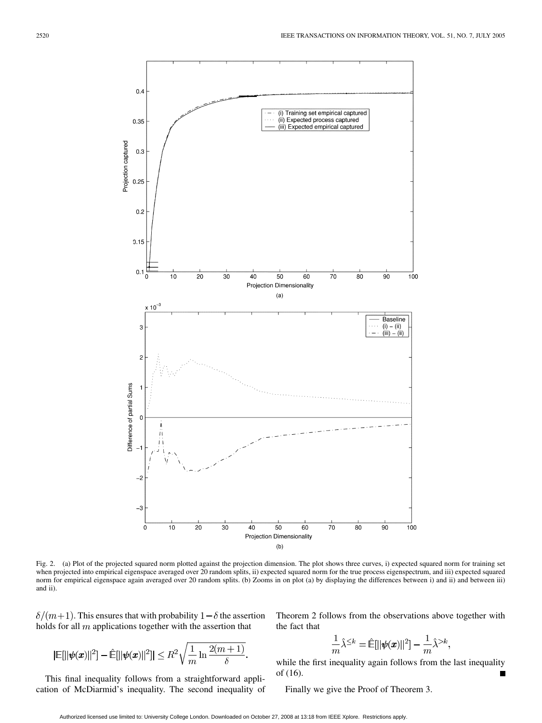

Fig. 2. (a) Plot of the projected squared norm plotted against the projection dimension. The plot shows three curves, i) expected squared norm for training set when projected into empirical eigenspace averaged over 20 random splits, ii) expected squared norm for the true process eigenspectrum, and iii) expected squared norm for empirical eigenspace again averaged over 20 random splits. (b) Zooms in on plot (a) by displaying the differences between i) and ii) and between iii) and ii).

 $\delta/(m+1)$ . This ensures that with probability  $1-\delta$  the assertion holds for all  $m$  applications together with the assertion that

$$
|\mathbb{E}[||\psi(\pmb{x})||^2] - \hat{\mathbb{E}}[||\psi(\pmb{x})||^2]| \leq R^2 \sqrt{\frac{1}{m} \ln \frac{2(m+1)}{\delta}}.
$$

This final inequality follows from a straightforward application of McDiarmid's inequality. The second inequality of Theorem 2 follows from the observations above together with the fact that

$$
\frac{1}{m}\hat{\lambda}^{\leq k} = \hat{\mathbb{E}}[\|\psi(\pmb{x})\|^2] - \frac{1}{m}\hat{\lambda}^{>k},
$$

while the first inequality again follows from the last inequality of (16).  $\blacksquare$ 

Finally we give the Proof of Theorem 3.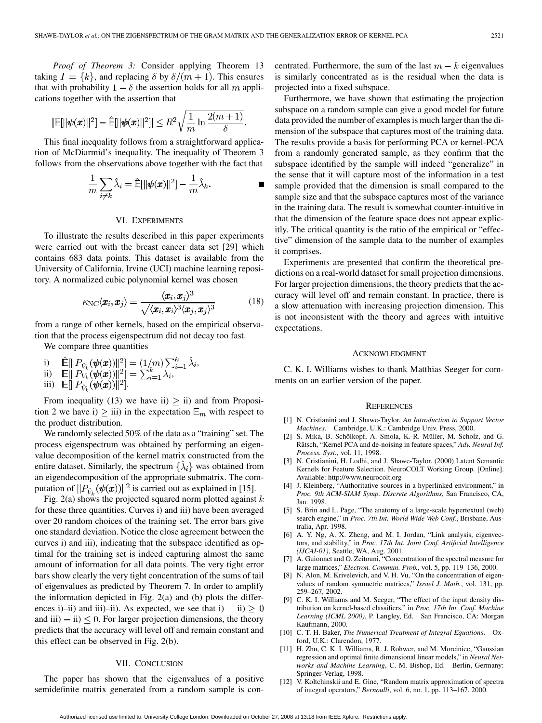<span id="page-11-0"></span>*Proof of Theorem 3:* Consider applying Theorem 13 taking  $I = \{k\}$ , and replacing  $\delta$  by  $\delta/(m + 1)$ . This ensures that with probability  $1 - \delta$  the assertion holds for all m applications together with the assertion that

$$
\mathbb{E}[\|\psi(\pmb{x})\|^2] - \hat{\mathbb{E}}[\|\psi(\pmb{x})\|^2] \le R^2 \sqrt{\frac{1}{m} \ln \frac{2(m+1)}{\delta}}.
$$

This final inequality follows from a straightforward application of McDiarmid's inequality. The inequality of Theorem 3 follows from the observations above together with the fact that

$$
\frac{1}{m}\sum_{i\neq k}\hat{\lambda}_i = \hat{\mathbb{E}}[\|\psi(\pmb{x})\|^2] - \frac{1}{m}\hat{\lambda}_k.
$$

### VI. EXPERIMENTS

To illustrate the results described in this paper experiments were carried out with the breast cancer data set [\[29](#page-12-0)] which contains 683 data points. This dataset is available from the University of California, Irvine (UCI) machine learning repository. A normalized cubic polynomial kernel was chosen

$$
\kappa_{\rm NC}\langle x_i, x_j\rangle = \frac{\langle x_i, x_j\rangle^3}{\sqrt{\langle x_i, x_i\rangle^3 \langle x_j, x_j\rangle^3}}\tag{18}
$$

from a range of other kernels, based on the empirical observation that the process eigenspectrum did not decay too fast.

We compare three quantities

i) 
$$
\mathbb{E}[\Vert P_{\hat{V}_L}(\boldsymbol{\psi}(\boldsymbol{x})) \Vert^2] = (1/m) \sum_{i=1}^k \hat{\lambda}_i,
$$

ii)  $\mathbb{E}[\Vert P_{V_k}(\boldsymbol{\psi}(\boldsymbol{x})) \Vert^2] = \sum_{i=1}^{\kappa} \lambda_i,$ 

iii)  $\mathbb{E}[\|P_{\hat{V}_t}(\psi(\bm{x}))\|^2].$ 

From inequality (13) we have ii)  $\geq$  ii) and from Proposition 2 we have i)  $\geq$  iii) in the expectation  $\mathbb{E}_m$  with respect to the product distribution.

We randomly selected 50% of the data as a "training" set. The process eigenspectrum was obtained by performing an eigenvalue decomposition of the kernel matrix constructed from the entire dataset. Similarly, the spectrum  $\{\lambda_i\}$  was obtained from an eigendecomposition of the appropriate submatrix. The computation of  $||P_{\hat{V}_L}(\psi(\mathbf{x}))||^2$  is carried out as explained in [\[15](#page-12-0)].

Fig. 2(a) shows the projected squared norm plotted against  $k$ for these three quantities. Curves i) and iii) have been averaged over 20 random choices of the training set. The error bars give one standard deviation. Notice the close agreement between the curves i) and iii), indicating that the subspace identified as optimal for the training set is indeed capturing almost the same amount of information for all data points. The very tight error bars show clearly the very tight concentration of the sums of tail of eigenvalues as predicted by Theorem 7. In order to amplify the information depicted in Fig. 2(a) and (b) plots the differences i)–ii) and iii)–ii). As expected, we see that i) – ii)  $\geq 0$ and iii)  $\leq$  0. For larger projection dimensions, the theory predicts that the accuracy will level off and remain constant and this effect can be observed in Fig. 2(b).

## VII. CONCLUSION

The paper has shown that the eigenvalues of a positive semidefinite matrix generated from a random sample is concentrated. Furthermore, the sum of the last  $m - k$  eigenvalues is similarly concentrated as is the residual when the data is projected into a fixed subspace.

Furthermore, we have shown that estimating the projection subspace on a random sample can give a good model for future data provided the number of examples is much larger than the dimension of the subspace that captures most of the training data. The results provide a basis for performing PCA or kernel-PCA from a randomly generated sample, as they confirm that the subspace identified by the sample will indeed "generalize" in the sense that it will capture most of the information in a test sample provided that the dimension is small compared to the sample size and that the subspace captures most of the variance in the training data. The result is somewhat counter-intuitive in that the dimension of the feature space does not appear explicitly. The critical quantity is the ratio of the empirical or "effective" dimension of the sample data to the number of examples it comprises.

Experiments are presented that confirm the theoretical predictions on a real-world dataset for small projection dimensions. For larger projection dimensions, the theory predicts that the accuracy will level off and remain constant. In practice, there is a slow attenuation with increasing projection dimension. This is not inconsistent with the theory and agrees with intuitive expectations.

#### ACKNOWLEDGMENT

C. K. I. Williams wishes to thank Matthias Seeger for comments on an earlier version of the paper.

#### **REFERENCES**

- [1] N. Cristianini and J. Shawe-Taylor, *An Introduction to Support Vector Machines*. Cambridge, U.K.: Cambridge Univ. Press, 2000.
- [2] S. Mika, B. Schölkopf, A. Smola, K.-R. Müller, M. Scholz, and G. Rätsch, "Kernel PCA and de-noising in feature spaces," *Adv. Neural Inf. Process. Syst.*, vol. 11, 1998.
- [3] N. Cristianini, H. Lodhi, and J. Shawe-Taylor. (2000) Latent Semantic Kernels for Feature Selection. NeuroCOLT Working Group. [Online]. Available: http://www.neurocolt.org
- [4] J. Kleinberg, "Authoritative sources in a hyperlinked environment," in *Proc. 9th ACM-SIAM Symp. Discrete Algorithms*, San Francisco, CA, Jan. 1998.
- [5] S. Brin and L. Page, "The anatomy of a large-scale hypertextual (web) search engine," in *Proc. 7th Int. World Wide Web Conf.*, Brisbane, Australia, Apr. 1998.
- [6] A. Y. Ng, A. X. Zheng, and M. I. Jordan, "Link analysis, eigenvectors, and stability," in *Proc. 17th Int. Joint Conf. Artificial Intelligence (IJCAI-01)*, Seattle, WA, Aug. 2001.
- [7] A. Guionnet and O. Zeitouni, "Concentration of the spectral measure for large matrices," *Electron. Commun. Prob.*, vol. 5, pp. 119–136, 2000.
- [8] N. Alon, M. Krivelevich, and V. H. Vu, "On the concentration of eigenvalues of random symmetric matrices," *Israel J. Math.*, vol. 131, pp. 259–267, 2002.
- [9] C. K. I. Williams and M. Seeger, "The effect of the input density distribution on kernel-based classifiers," in *Proc. 17th Int. Conf. Machine Learning (ICML 2000)*, P. Langley, Ed. San Francisco, CA: Morgan Kaufmann, 2000.
- [10] C. T. H. Baker, *The Numerical Treatment of Integral Equations*. Oxford, U.K.: Clarendon, 1977.
- [11] H. Zhu, C. K. I. Williams, R. J. Rohwer, and M. Morciniec, "Gaussian regression and optimal finite dimensional linear models," in *Neural Networks and Machine Learning*, C. M. Bishop, Ed. Berlin, Germany: Springer-Verlag, 1998.
- [12] V. Koltchinskii and E. Gine, "Random matrix approximation of spectra of integral operators," *Bernoulli*, vol. 6, no. 1, pp. 113–167, 2000.